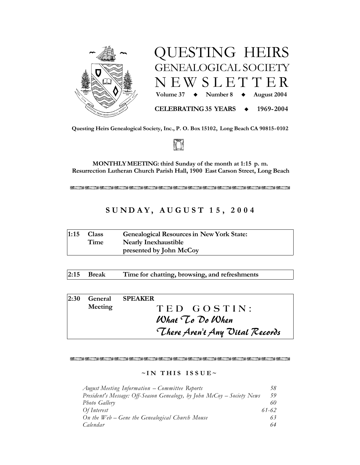



Questing Heirs Genealogical Society, Inc., P. O. Box 15102, Long Beach CA 90815-0102



MONTHLY MEETING: third Sunday of the month at 1:15 p.m. Resurrection Lutheran Church Parish Hall, 1900 East Carson Street, Long Beach

不少离开 医不少原子 医医心房内 医不少医心室的 医阴道 医心房的 多不少的 医第一型不少

# SUNDAY, AUGUST 15, 2004

| 1:15 | <b>Class</b> | <b>Genealogical Resources in New York State:</b> |  |
|------|--------------|--------------------------------------------------|--|
|      | Time         | <b>Nearly Inexhaustible</b>                      |  |
|      |              | presented by John McCoy                          |  |

 $2:15$ **Break** Time for chatting, browsing, and refreshments

| 2:30                           |                 | <b>General SPEAKER</b> |  |  |
|--------------------------------|-----------------|------------------------|--|--|
|                                | Meeting         | TED GOSTIN:            |  |  |
|                                | What To Do When |                        |  |  |
| There Aren't Any Uital Records |                 |                        |  |  |

### 不少离开 医不少原子 医医心房内 医不少医心室的 医阴道 医心房的 多不少的 医第一型不少

### $\sim$ IN THIS ISSUE $\sim$

| August Meeting Information – Committee Reports                            | 58    |
|---------------------------------------------------------------------------|-------|
| President's Message: Off-Season Genealogy, by John $McCoy - Society$ News | 59    |
| Photo Gallery                                                             | 60    |
| Of Interest                                                               | 61-62 |
| On the $Web - Gene$ the Genealogical Church Mouse                         | 63    |
| Calendar                                                                  | 64    |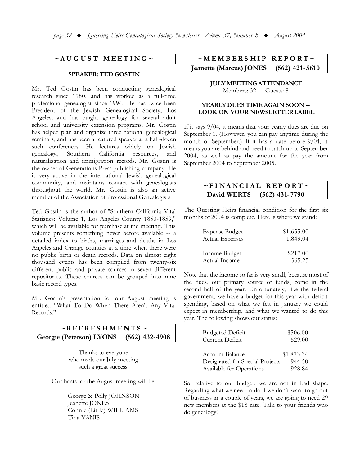### $~\sim$ AUGUST MEETING $\sim$

### **SPEAKER: TED GOSTIN**

Mr. Ted Gostin has been conducting genealogical research since 1980, and has worked as a full-time professional genealogist since 1994. He has twice been President of the Jewish Genealogical Society, Los Angeles, and has taught genealogy for several adult school and university extension programs. Mr. Gostin has helped plan and organize three national genealogical seminars, and has been a featured speaker at a half-dozen such conferences. He lectures widely on Jewish genealogy, Southern California resources, and naturalization and immigration records. Mr. Gostin is the owner of Generations Press publishing company. He is very active in the international Jewish genealogical community, and maintains contact with genealogists throughout the world. Mr. Gostin is also an active member of the Association of Professional Genealogists.

Ted Gostin is the author of "Southern California Vital Statistics: Volume 1, Los Angeles County 1850-1859," which will be available for purchase at the meeting. This volume presents something never before available -- a detailed index to births, marriages and deaths in Los Angeles and Orange counties at a time when there were no public birth or death records. Data on almost eight thousand events has been compiled from twenty-six different public and private sources in seven different repositories. These sources can be grouped into nine basic record types.

Mr. Gostin's presentation for our August meeting is entitled "What To Do When There Aren't Any Vital Records."

#### $\sim$ REFRESHMENTS $\sim$ **Georgie (Peterson) LYONS**  $(562)$  432-4908

Thanks to everyone who made our July meeting such a great success!

Our hosts for the August meeting will be:

George & Polly JOHNSON Jeanette JONES Connie (Little) WILLIAMS Tina YANIS

#### $~\sim$ MEMBERSHIP  $REPORT \sim$ **Jeanette (Marcus) JONES**  $(562)$  421-5610

#### **JULY MEETING ATTENDANCE** Members: 32 Guests: 8

### YEARLY DUES TIME AGAIN SOON --LOOK ON YOUR NEWSLETTER LABEL

If it says  $9/04$ , it means that your yearly dues are due on September 1. (However, you can pay anytime during the month of September.) If it has a date before 9/04, it means you are behind and need to catch up to September 2004, as well as pay the amount for the year from September 2004 to September 2005.

### $~\sim$ FINANCIAL REPORT $\sim$ David WERTS  $(562)$  431-7790

The Questing Heirs financial condition for the first six months of 2004 is complete. Here is where we stand:

| <b>Expense Budget</b>  | \$1,655.00 |
|------------------------|------------|
| <b>Actual Expenses</b> | 1,849.04   |
| Income Budget          | \$217.00   |
| Actual Income          | 365.25     |

Note that the income so far is very small, because most of the dues, our primary source of funds, come in the second half of the year. Unfortunately, like the federal government, we have a budget for this year with deficit spending, based on what we felt in January we could expect in membership, and what we wanted to do this year. The following shows our status:

| <b>Budgeted Deficit</b>         | \$506.00   |
|---------------------------------|------------|
| Current Deficit                 | 529.00     |
|                                 |            |
| Account Balance                 | \$1,873.34 |
| Designated for Special Projects | 944.50     |
| Available for Operations        | 928.84     |

So, relative to our budget, we are not in bad shape. Regarding what we need to do if we don't want to go out of business in a couple of years, we are going to need 29 new members at the \$18 rate. Talk to your friends who do genealogy!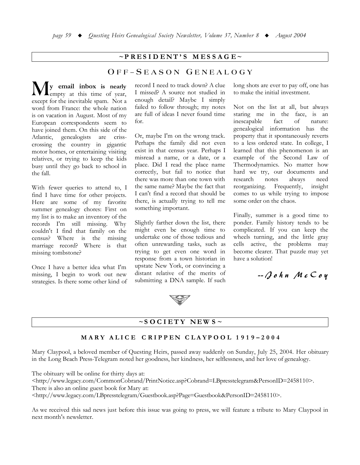### $\sim$ PRESIDENT'S MESSAGE $\sim$

## OFF-SEASON GENEALOGY

y email inbox is nearly lempty at this time of year, except for the inevitable spam. Not a word from France: the whole nation is on vacation in August. Most of my European correspondents seem to have joined them. On this side of the genealogists Atlantic, are crisscrossing the country in gigantic motor homes, or entertaining visiting relatives, or trying to keep the kids busy until they go back to school in the fall.

With fewer queries to attend to, I find I have time for other projects. Here are some of my favorite summer genealogy chores: First on my list is to make an inventory of the records I'm still missing. Why couldn't I find that family on the census? Where is the missing marriage record? Where is that missing tombstone?

Once I have a better idea what I'm missing, I begin to work out new strategies. Is there some other kind of record I need to track down? A clue I missed? A source not studied in enough detail? Maybe I simply failed to follow through; my notes are full of ideas I never found time for.

Or, maybe I'm on the wrong track. Perhaps the family did not even exist in that census year. Perhaps I misread a name, or a date, or a place. Did I read the place name correctly, but fail to notice that there was more than one town with the same name? Maybe the fact that I can't find a record that should be there, is actually trying to tell me something important.

Slightly farther down the list, there might even be enough time to undertake one of those tedious and often unrewarding tasks, such as trying to get even one word in response from a town historian in upstate New York, or convincing a distant relative of the merits of submitting a DNA sample. If such

long shots are ever to pay off, one has to make the initial investment.

Not on the list at all, but always staring me in the face, is an inescapable fact of nature: genealogical information has the property that it spontaneously reverts to a less ordered state. In college, I learned that this phenomenon is an example of the Second Law of Thermodynamics. No matter how hard we try, our documents and notes research need always reorganizing. Frequently, insight comes to us while trying to impose some order on the chaos.

Finally, summer is a good time to ponder. Family history tends to be complicated. If you can keep the wheels turning, and the little gray cells active, the problems may become clearer. That puzzle may yet have a solution!

 $-$  Qohn McCoy



### $\sim$ SOCIETY NEWS $\sim$

### MARY ALICE CRIPPEN CLAYPOOL 1919-2004

Mary Claypool, a beloved member of Questing Heirs, passed away suddenly on Sunday, July 25, 2004. Her obituary in the Long Beach Press-Telegram noted her goodness, her kindness, her selflessness, and her love of genealogy.

The obituary will be online for thirty days at:

<http://www.legacy.com/CommonCobrand/PrintNotice.asp?Cobrand=LBpresstelegram&PersonID=2458110>. There is also an online guest book for Mary at:

<http://www.legacy.com/LBpresstelegram/Guestbook.asp?Page=Guestbook&PersonID=2458110>.

As we received this sad news just before this issue was going to press, we will feature a tribute to Mary Claypool in next month's newsletter.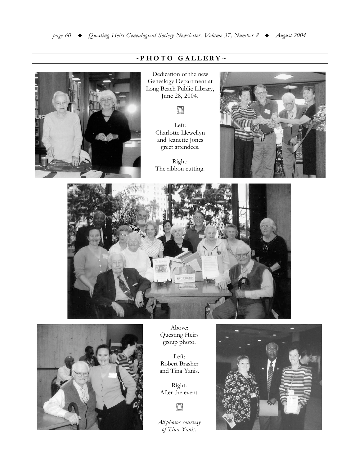

# $\sim$ PHOTO GALLERY~

Dedication of the new Genealogy Department at Long Beach Public Library, June 28, 2004.



Left: Charlotte Llewellyn and Jeanette Jones greet attendees.

Right: The ribbon cutting.







Above: Questing Heirs group photo.

Left: Robert Brasher and Tina Yanis.

Right: After the event.

I

All photos courtesy of Tina Yanis.

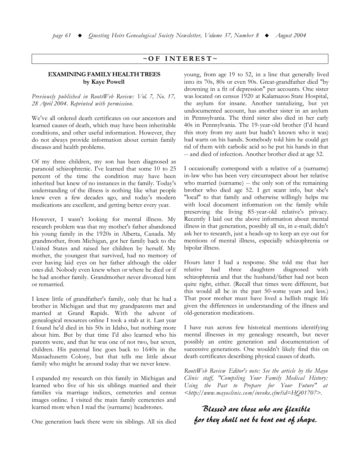### $\sim$ OF INTEREST $\sim$

### **EXAMINING FAMILY HEALTH TREES** by Kave Powell

Previously published in RootsWeb Review: Vol. 7, No. 17, 28 April 2004. Reprinted with permission.

We've all ordered death certificates on our ancestors and learned causes of death, which may have been inheritable conditions, and other useful information. However, they do not always provide information about certain family diseases and health problems.

Of my three children, my son has been diagnosed as paranoid schizophrenic. I've learned that some 10 to 25 percent of the time the condition may have been inherited but knew of no instances in the family. Today's understanding of the illness is nothing like what people knew even a few decades ago, and today's modern medications are excellent, and getting better every year.

However, I wasn't looking for mental illness. My research problem was that my mother's father abandoned his young family in the 1920s in Alberta, Canada. My grandmother, from Michigan, got her family back to the United States and raised her children by herself. My mother, the youngest that survived, had no memory of ever having laid eyes on her father although the older ones did. Nobody even knew when or where he died or if he had another family. Grandmother never divorced him or remarried.

I knew little of grandfather's family, only that he had a brother in Michigan and that my grandparents met and married at Grand Rapids. With the advent of genealogical resources online I took a stab at it. Last year I found he'd died in his 50s in Idaho, but nothing more about him. But by that time I'd also learned who his parents were, and that he was one of not two, but seven, children. His paternal line goes back to 1640s in the Massachusetts Colony, but that tells me little about family who might be around today that we never knew.

I expanded my research on this family in Michigan and learned who five of his six siblings married and their families via marriage indices, cemeteries and census images online. I visited the main family cemeteries and learned more when I read the (surname) headstones.

One generation back there were six siblings. All six died

young, from age 19 to 52, in a line that generally lived into its 70s, 80s or even 90s. Great-grandfather died "by drowning in a fit of depression" per accounts. One sister was located on census 1920 at Kalamazoo State Hospital, the asylum for insane. Another tantalizing, but yet undocumented account, has another sister in an asylum in Pennsylvania. The third sister also died in her early 40s in Pennsylvania. The 19-year-old brother (I'd heard this story from my aunt but hadn't known who it was) had warts on his hands. Somebody told him he could get rid of them with carbolic acid so he put his hands in that -- and died of infection. Another brother died at age 52.

I occasionally correspond with a relative of a (surname) in-law who has been very circumspect about her relative who married (surname) -- the only son of the remaining brother who died age 52. I get scant info, but she's "local" to that family and otherwise willingly helps me with local document information on the family while preserving the living 85-year-old relative's privacy. Recently I laid out the above information about mental illness in that generation, possibly all six, in e-mail; didn't ask her to research, just a heads-up to keep an eye out for mentions of mental illness, especially schizophrenia or bipolar illness.

Hours later I had a response. She told me that her relative had three daughters diagnosed with schizophrenia and that the husband/father had not been quite right, either. (Recall that times were different, but this would all be in the past 50-some years and less.) That poor mother must have lived a hellish tragic life given the differences in understanding of the illness and old-generation medications.

I have run across few historical mentions identifying mental illnesses in my genealogy research, but never possibly an entire generation and documentation of successive generations. One wouldn't likely find this on death certificates describing physical causes of death.

RootsWeb Review Editor's note: See the article by the Mayo Clinic staff, "Compiling Your Family Medical History: Using the Past to Prepare for Your Future" at <http://www.mayoclinic.com/invoke.cfm?id=HQ01707>.

# Blessed are those who are flexible for they shall not be bent out of shape.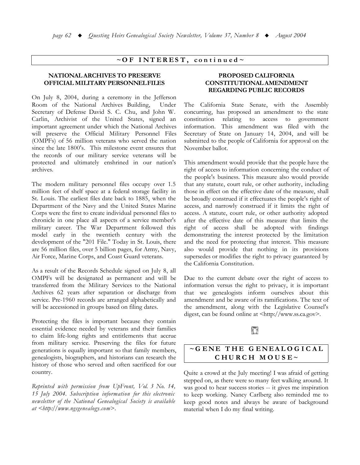### $\sim$ OF INTEREST, continued $\sim$

### **NATIONAL ARCHIVES TO PRESERVE OFFICIAL MILITARY PERSONNEL FILES**

On July 8, 2004, during a ceremony in the Jefferson Room of the National Archives Building, Under Secretary of Defense David S. C. Chu, and John W. Carlin, Archivist of the United States, signed an important agreement under which the National Archives will preserve the Official Military Personnel Files (OMPFs) of 56 million veterans who served the nation since the late 1800's. This milestone event ensures that the records of our military service veterans will be protected and ultimately enshrined in our nation's archives.

The modern military personnel files occupy over 1.5 million feet of shelf space at a federal storage facility in St. Louis. The earliest files date back to 1885, when the Department of the Navy and the United States Marine Corps were the first to create individual personnel files to chronicle in one place all aspects of a service member's military career. The War Department followed this model early in the twentieth century with the development of the "201 File." Today in St. Louis, there are 56 million files, over 5 billion pages, for Army, Navy, Air Force, Marine Corps, and Coast Guard veterans.

As a result of the Records Schedule signed on July 8, all OMPFs will be designated as permanent and will be transferred from the Military Services to the National Archives 62 years after separation or discharge from service. Pre-1960 records are arranged alphabetically and will be accessioned in groups based on filing dates.

Protecting the files is important because they contain essential evidence needed by veterans and their families to claim life-long rights and entitlements that accrue from military service. Preserving the files for future generations is equally important so that family members, genealogists, biographers, and historians can research the history of those who served and often sacrificed for our country.

Reprinted with permission from UpFront, Vol. 3 No. 14, 15 July 2004. Subscription information for this electronic newsletter of the National Genealogical Society is available  $at$  < http://www.ngsgenealogy.com>.

### PROPOSED CALIFORNIA **CONSTITUTIONAL AMENDMENT REGARDING PUBLIC RECORDS**

The California State Senate, with the Assembly concurring, has proposed an amendment to the state constitution relating to access to government information. This amendment was filed with the Secretary of State on January 14, 2004, and will be submitted to the people of California for approval on the November ballot.

This amendment would provide that the people have the right of access to information concerning the conduct of the people's business. This measure also would provide that any statute, court rule, or other authority, including those in effect on the effective date of the measure, shall be broadly construed if it effectuates the people's right of access, and narrowly construed if it limits the right of access. A statute, court rule, or other authority adopted after the effective date of this measure that limits the right of access shall be adopted with findings demonstrating the interest protected by the limitation and the need for protecting that interest. This measure also would provide that nothing in its provisions supersedes or modifies the right to privacy guaranteed by the California Constitution.

Due to the current debate over the right of access to information versus the right to privacy, it is important that we genealogists inform ourselves about this amendment and be aware of its ramifications. The text of the amendment, along with the Legislative Counsel's digest, can be found online at <http://www.ss.ca.gov>.

# Ŭ

# $\sim$ GENE THE GENEALOGICAL CHURCH MOUSE~

Quite a crowd at the July meeting! I was afraid of getting stepped on, as there were so many feet walking around. It was good to hear success stories -- it gives me inspiration to keep working. Nancy Carlberg also reminded me to keep good notes and always be aware of background material when I do my final writing.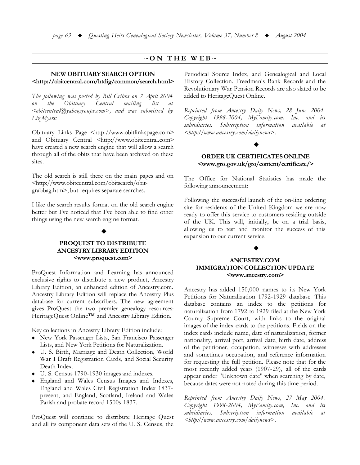### $\sim$  ON THE WEB $\sim$

### NEW OBITUARY SEARCH OPTION

### <http://obitcentral.com/htdig/common/search.html>

The following was posted by Bill Cribbs on 7 April 2004 Obituary the Central mailing list at  $\leq$ obitcentral $\omega$ yahoogroups.com>, and was submitted by Liz Myers:

Obituary Links Page <http://www.obitlinkspage.com> and Obituary Central <http://www.obitcentral.com> have created a new search engine that will allow a search through all of the obits that have been archived on these sites.

The old search is still there on the main pages and on <http://www.obitcentral.com/obitsearch/obitgrabbag.htm>, but requires separate searches.

I like the search results format on the old search engine better but I've noticed that I've been able to find other things using the new search engine format.

### PROOUEST TO DISTRIBUTE ANCESTRY LIBRARY EDITION <www.proquest.com>

ProQuest Information and Learning has announced exclusive rights to distribute a new product, Ancestry Library Edition, an enhanced edition of Ancestry.com. Ancestry Library Edition will replace the Ancestry Plus database for current subscribers. The new agreement gives ProQuest the two premier genealogy resources: HeritageQuest Online<sup>TM</sup> and Ancestry Library Edition.

Key collections in Ancestry Library Edition include:

- New York Passenger Lists, San Francisco Passenger Lists, and New York Petitions for Naturalization.
- U. S. Birth, Marriage and Death Collection, World War I Draft Registration Cards, and Social Security Death Index.
- U. S. Census 1790-1930 images and indexes.
- England and Wales Census Images and Indexes, England and Wales Civil Registration Index 1837present, and England, Scotland, Ireland and Wales Parish and probate record 1500s-1837.

ProQuest will continue to distribute Heritage Quest and all its component data sets of the U. S. Census, the Periodical Source Index, and Genealogical and Local History Collection. Freedman's Bank Records and the Revolutionary War Pension Records are also slated to be added to HeritageQuest Online.

Reprinted from Ancestry Daily News, 28 June 2004. Copyright 1998-2004, MyFamily.com, Inc. and its subsidiaries. Subscription information available <sub>at</sub> <http://www.ancestry.com/dailynews>.

## **ORDER UK CERTIFICATES ONLINE** <www.gro.gov.uk/gro/content/certificate/>

The Office for National Statistics has made the following announcement:

Following the successful launch of the on-line ordering site for residents of the United Kingdom we are now ready to offer this service to customers residing outside of the UK. This will, initially, be on a trial basis, allowing us to test and monitor the success of this expansion to our current service.

### **ANCESTRY.COM IMMIGRATION COLLECTION UPDATE** <www.ancestry.com>

Ancestry has added 150,000 names to its New York Petitions for Naturalization 1792-1929 database. This database contains an index to the petitions for naturalization from 1792 to 1929 filed at the New York County Supreme Court, with links to the original images of the index cards to the petitions. Fields on the index cards include name, date of naturalization, former nationality, arrival port, arrival date, birth date, address of the petitioner, occupation, witnesses with addresses and sometimes occupation, and reference information for requesting the full petition. Please note that for the most recently added years (1907-29), all of the cards appear under "Unknown date" when searching by date, because dates were not noted during this time period.

Reprinted from Ancestry Daily News, 27 May 2004. Copyright 1998-2004, MyFamily.com, Inc. and its subsidiaries. Subscription information available  $\alpha t$ <http://www.ancestry.com/dailynews>.